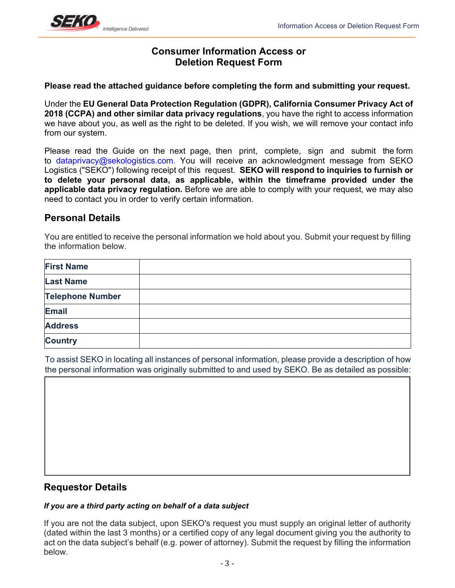

# **Consumer Information Access or Deletion Request Form**

**Please read the attached guidance before completing the form and submitting your request.** 

Under the **EU General Data Protection Regulation (GDPR), California Consumer Privacy Act of 2018 (CCPA) and other similar data privacy regulations**, you have the right to access information we have about you, as well as the right to be deleted. If you wish, we will remove your contact info from our system.

Please read the Guide on the next page, then print, complete, sign and submit the form to dataprivacy@sekologistics.com. You will receive an acknowledgment message from SEKO Logistics ("SEKO") following receipt of this request. **SEKO will respond to inquiries to furnish or to delete your personal data, as applicable, within the timeframe provided under the applicable data privacy regulation.** Before we are able to comply with your request, we may also need to contact you in order to verify certain information.

## **Personal Details**

You are entitled to receive the personal information we hold about you. Submit your request by filling the information below.

| <b>First Name</b>       |  |
|-------------------------|--|
| <b>Last Name</b>        |  |
| <b>Telephone Number</b> |  |
| Email                   |  |
| <b>Address</b>          |  |
| <b>Country</b>          |  |

To assist SEKO in locating all instances of personal information, please provide a description of how the personal information was originally submitted to and used by SEKO. Be as detailed as possible:

## **Requestor Details**

#### *If you are a third party acting on behalf of a data subject*

If you are not the data subject, upon SEKO's request you must supply an original letter of authority (dated within the last 3 months) or a certified copy of any legal document giving you the authority to act on the data subject's behalf (e.g. power of attorney). Submit the request by filling the information below.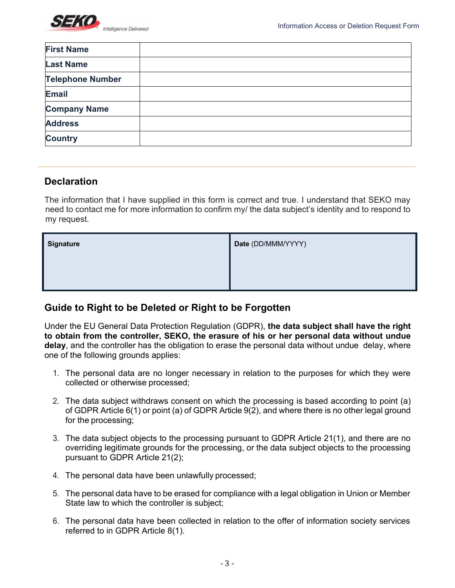

| <b>First Name</b>       |  |
|-------------------------|--|
| <b>Last Name</b>        |  |
| <b>Telephone Number</b> |  |
| <b>Email</b>            |  |
| <b>Company Name</b>     |  |
| <b>Address</b>          |  |
| <b>Country</b>          |  |

## **Declaration**

The information that I have supplied in this form is correct and true. I understand that SEKO may need to contact me for more information to confirm my/ the data subject's identity and to respond to my request.

| <b>Signature</b> | Date (DD/MMM/YYYY) |
|------------------|--------------------|
|                  |                    |
|                  |                    |

## **Guide to Right to be Deleted or Right to be Forgotten**

Under the EU General Data Protection Regulation (GDPR), **the data subject shall have the right to obtain from the controller, SEKO, the erasure of his or her personal data without undue delay**, and the controller has the obligation to erase the personal data without undue delay, where one of the following grounds applies:

- 1. The personal data are no longer necessary in relation to the purposes for which they were collected or otherwise processed;
- 2. The data subject withdraws consent on which the processing is based according to point (a) of GDPR Article 6(1) or point (a) of GDPR Article 9(2), and where there is no other legal ground for the processing;
- 3. The data subject objects to the processing pursuant to GDPR Article 21(1), and there are no overriding legitimate grounds for the processing, or the data subject objects to the processing pursuant to GDPR Article 21(2);
- 4. The personal data have been unlawfully processed;
- 5. The personal data have to be erased for compliance with a legal obligation in Union or Member State law to which the controller is subject;
- 6. The personal data have been collected in relation to the offer of information society services referred to in GDPR Article 8(1).